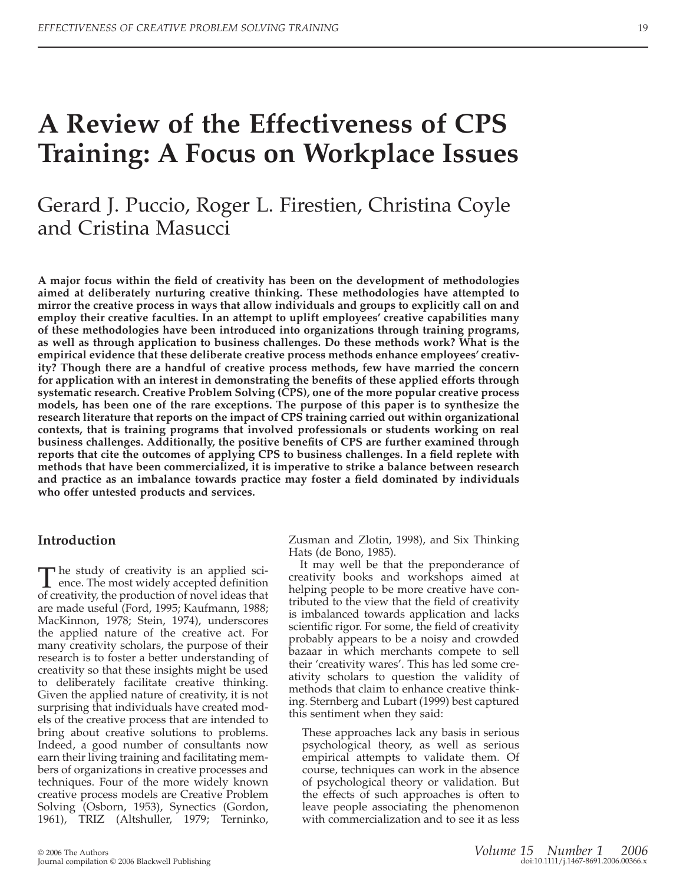Gerard J. Puccio, Roger L. Firestien, Christina Coyle and Cristina Masucci

**A major focus within the field of creativity has been on the development of methodologies aimed at deliberately nurturing creative thinking. These methodologies have attempted to mirror the creative process in ways that allow individuals and groups to explicitly call on and employ their creative faculties. In an attempt to uplift employees' creative capabilities many of these methodologies have been introduced into organizations through training programs, as well as through application to business challenges. Do these methods work? What is the empirical evidence that these deliberate creative process methods enhance employees' creativity? Though there are a handful of creative process methods, few have married the concern for application with an interest in demonstrating the benefits of these applied efforts through systematic research. Creative Problem Solving (CPS), one of the more popular creative process models, has been one of the rare exceptions. The purpose of this paper is to synthesize the research literature that reports on the impact of CPS training carried out within organizational contexts, that is training programs that involved professionals or students working on real business challenges. Additionally, the positive benefits of CPS are further examined through reports that cite the outcomes of applying CPS to business challenges. In a field replete with methods that have been commercialized, it is imperative to strike a balance between research and practice as an imbalance towards practice may foster a field dominated by individuals who offer untested products and services.**

# **Introduction**

he study of creativity is an applied sci-The study of creativity is an applied sci-<br>
ence. The most widely accepted definition<br>
of creativity the production of povel ideas that of creativity, the production of novel ideas that are made useful (Ford, 1995; Kaufmann, 1988; MacKinnon, 1978; Stein, 1974), underscores the applied nature of the creative act. For many creativity scholars, the purpose of their research is to foster a better understanding of creativity so that these insights might be used to deliberately facilitate creative thinking. Given the applied nature of creativity, it is not surprising that individuals have created models of the creative process that are intended to bring about creative solutions to problems. Indeed, a good number of consultants now earn their living training and facilitating members of organizations in creative processes and techniques. Four of the more widely known creative process models are Creative Problem Solving (Osborn, 1953), Synectics (Gordon, 1961), TRIZ (Altshuller, 1979; Terninko,

Zusman and Zlotin, 1998), and Six Thinking Hats (de Bono, 1985).

It may well be that the preponderance of creativity books and workshops aimed at helping people to be more creative have contributed to the view that the field of creativity is imbalanced towards application and lacks scientific rigor. For some, the field of creativity probably appears to be a noisy and crowded bazaar in which merchants compete to sell their 'creativity wares'. This has led some creativity scholars to question the validity of methods that claim to enhance creative thinking. Sternberg and Lubart (1999) best captured this sentiment when they said:

These approaches lack any basis in serious psychological theory, as well as serious empirical attempts to validate them. Of course, techniques can work in the absence of psychological theory or validation. But the effects of such approaches is often to leave people associating the phenomenon with commercialization and to see it as less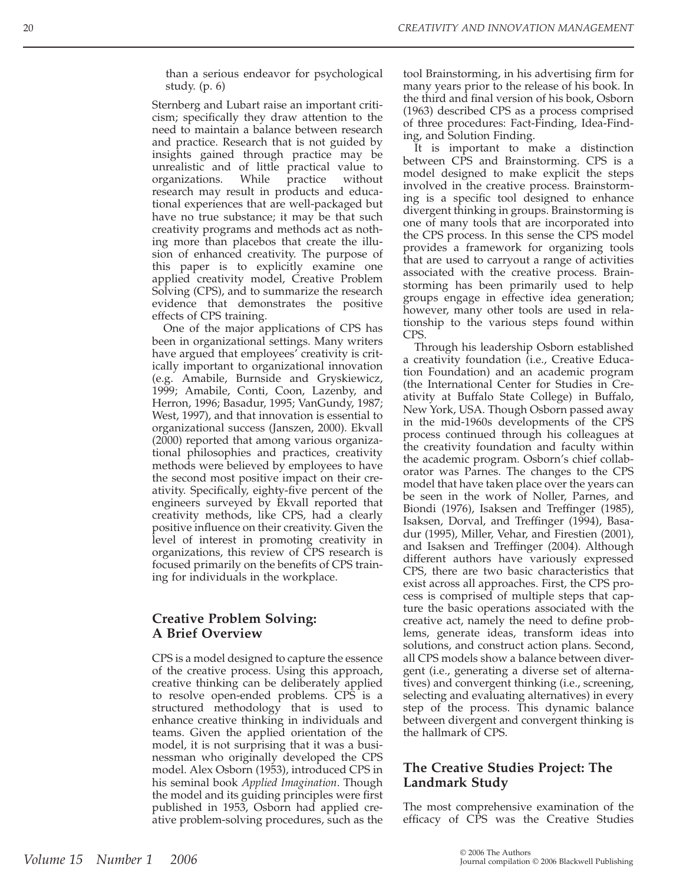than a serious endeavor for psychological study. (p. 6)

Sternberg and Lubart raise an important criticism; specifically they draw attention to the need to maintain a balance between research and practice. Research that is not guided by insights gained through practice may be unrealistic and of little practical value to organizations. While practice without research may result in products and educational experiences that are well-packaged but have no true substance; it may be that such creativity programs and methods act as nothing more than placebos that create the illusion of enhanced creativity. The purpose of this paper is to explicitly examine one applied creativity model, Creative Problem Solving (CPS), and to summarize the research evidence that demonstrates the positive effects of CPS training.

One of the major applications of CPS has been in organizational settings. Many writers have argued that employees' creativity is critically important to organizational innovation (e.g. Amabile, Burnside and Gryskiewicz, 1999; Amabile, Conti, Coon, Lazenby, and Herron, 1996; Basadur, 1995; VanGundy, 1987; West, 1997), and that innovation is essential to organizational success (Janszen, 2000). Ekvall (2000) reported that among various organizational philosophies and practices, creativity methods were believed by employees to have the second most positive impact on their creativity. Specifically, eighty-five percent of the engineers surveyed by Ekvall reported that creativity methods, like CPS, had a clearly positive influence on their creativity. Given the level of interest in promoting creativity in organizations, this review of CPS research is focused primarily on the benefits of CPS training for individuals in the workplace.

## **Creative Problem Solving: A Brief Overview**

CPS is a model designed to capture the essence of the creative process. Using this approach, creative thinking can be deliberately applied to resolve open-ended problems. CPS is a structured methodology that is used to enhance creative thinking in individuals and teams. Given the applied orientation of the model, it is not surprising that it was a businessman who originally developed the CPS model. Alex Osborn (1953), introduced CPS in his seminal book *Applied Imagination*. Though the model and its guiding principles were first published in 1953, Osborn had applied creative problem-solving procedures, such as the

tool Brainstorming, in his advertising firm for many years prior to the release of his book. In the third and final version of his book, Osborn (1963) described CPS as a process comprised of three procedures: Fact-Finding, Idea-Finding, and Solution Finding.

It is important to make a distinction between CPS and Brainstorming. CPS is a model designed to make explicit the steps involved in the creative process. Brainstorming is a specific tool designed to enhance divergent thinking in groups. Brainstorming is one of many tools that are incorporated into the CPS process. In this sense the CPS model provides a framework for organizing tools that are used to carryout a range of activities associated with the creative process. Brainstorming has been primarily used to help groups engage in effective idea generation; however, many other tools are used in relationship to the various steps found within CPS.

Through his leadership Osborn established a creativity foundation (i.e., Creative Education Foundation) and an academic program (the International Center for Studies in Creativity at Buffalo State College) in Buffalo, New York, USA. Though Osborn passed away in the mid-1960s developments of the CPS process continued through his colleagues at the creativity foundation and faculty within the academic program. Osborn's chief collaborator was Parnes. The changes to the CPS model that have taken place over the years can be seen in the work of Noller, Parnes, and Biondi (1976), Isaksen and Treffinger (1985), Isaksen, Dorval, and Treffinger (1994), Basadur (1995), Miller, Vehar, and Firestien (2001), and Isaksen and Treffinger (2004). Although different authors have variously expressed CPS, there are two basic characteristics that exist across all approaches. First, the CPS process is comprised of multiple steps that capture the basic operations associated with the creative act, namely the need to define problems, generate ideas, transform ideas into solutions, and construct action plans. Second, all CPS models show a balance between divergent (i.e., generating a diverse set of alternatives) and convergent thinking (i.e., screening, selecting and evaluating alternatives) in every step of the process. This dynamic balance between divergent and convergent thinking is the hallmark of CPS.

## **The Creative Studies Project: The Landmark Study**

The most comprehensive examination of the efficacy of CPS was the Creative Studies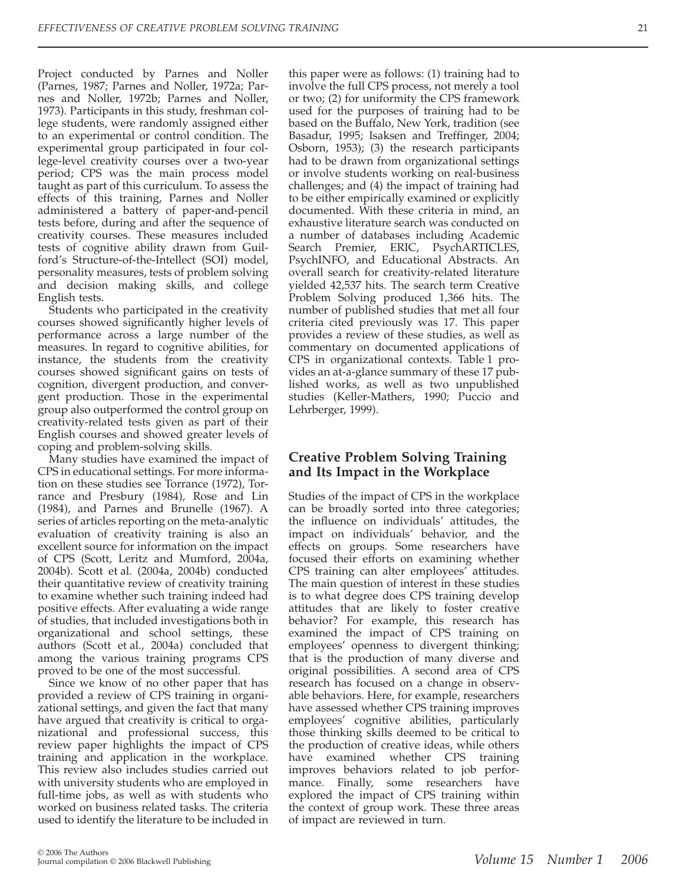Project conducted by Parnes and Noller (Parnes, 1987; Parnes and Noller, 1972a; Parnes and Noller, 1972b; Parnes and Noller, 1973). Participants in this study, freshman college students, were randomly assigned either to an experimental or control condition. The experimental group participated in four college-level creativity courses over a two-year period; CPS was the main process model taught as part of this curriculum. To assess the effects of this training, Parnes and Noller administered a battery of paper-and-pencil tests before, during and after the sequence of creativity courses. These measures included tests of cognitive ability drawn from Guilford's Structure-of-the-Intellect (SOI) model, personality measures, tests of problem solving and decision making skills, and college English tests.

Students who participated in the creativity courses showed significantly higher levels of performance across a large number of the measures. In regard to cognitive abilities, for instance, the students from the creativity courses showed significant gains on tests of cognition, divergent production, and convergent production. Those in the experimental group also outperformed the control group on creativity-related tests given as part of their English courses and showed greater levels of coping and problem-solving skills.

Many studies have examined the impact of CPS in educational settings. For more information on these studies see Torrance (1972), Torrance and Presbury (1984), Rose and Lin (1984), and Parnes and Brunelle (1967). A series of articles reporting on the meta-analytic evaluation of creativity training is also an excellent source for information on the impact of CPS (Scott, Leritz and Mumford, 2004a, 2004b). Scott et al. (2004a, 2004b) conducted their quantitative review of creativity training to examine whether such training indeed had positive effects. After evaluating a wide range of studies, that included investigations both in organizational and school settings, these authors (Scott et al., 2004a) concluded that among the various training programs CPS proved to be one of the most successful.

Since we know of no other paper that has provided a review of CPS training in organizational settings, and given the fact that many have argued that creativity is critical to organizational and professional success, this review paper highlights the impact of CPS training and application in the workplace. This review also includes studies carried out with university students who are employed in full-time jobs, as well as with students who worked on business related tasks. The criteria used to identify the literature to be included in

this paper were as follows: (1) training had to involve the full CPS process, not merely a tool or two; (2) for uniformity the CPS framework used for the purposes of training had to be based on the Buffalo, New York, tradition (see Basadur, 1995; Isaksen and Treffinger, 2004; Osborn, 1953); (3) the research participants had to be drawn from organizational settings or involve students working on real-business challenges; and (4) the impact of training had to be either empirically examined or explicitly documented. With these criteria in mind, an exhaustive literature search was conducted on a number of databases including Academic Search Premier, ERIC, PsychARTICLES, PsychINFO, and Educational Abstracts. An overall search for creativity-related literature yielded 42,537 hits. The search term Creative Problem Solving produced 1,366 hits. The number of published studies that met all four criteria cited previously was 17. This paper provides a review of these studies, as well as commentary on documented applications of CPS in organizational contexts. Table 1 provides an at-a-glance summary of these 17 published works, as well as two unpublished studies (Keller-Mathers, 1990; Puccio and Lehrberger, 1999).

# **Creative Problem Solving Training and Its Impact in the Workplace**

Studies of the impact of CPS in the workplace can be broadly sorted into three categories; the influence on individuals' attitudes, the impact on individuals' behavior, and the effects on groups. Some researchers have focused their efforts on examining whether CPS training can alter employees' attitudes. The main question of interest in these studies is to what degree does CPS training develop attitudes that are likely to foster creative behavior? For example, this research has examined the impact of CPS training on employees' openness to divergent thinking; that is the production of many diverse and original possibilities. A second area of CPS research has focused on a change in observable behaviors. Here, for example, researchers have assessed whether CPS training improves employees' cognitive abilities, particularly those thinking skills deemed to be critical to the production of creative ideas, while others have examined whether CPS training improves behaviors related to job performance. Finally, some researchers have explored the impact of CPS training within the context of group work. These three areas of impact are reviewed in turn.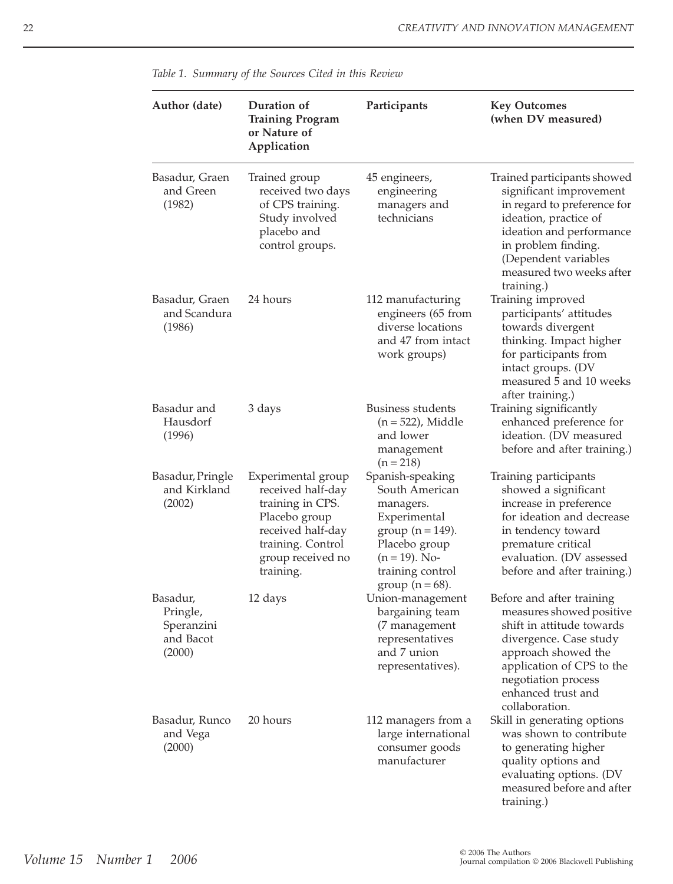| Author (date)                                             | Duration of<br><b>Training Program</b><br>or Nature of<br>Application                                                                                    | Participants                                                                                                                                                            | <b>Key Outcomes</b><br>(when DV measured)                                                                                                                                                                                           |
|-----------------------------------------------------------|----------------------------------------------------------------------------------------------------------------------------------------------------------|-------------------------------------------------------------------------------------------------------------------------------------------------------------------------|-------------------------------------------------------------------------------------------------------------------------------------------------------------------------------------------------------------------------------------|
| Basadur, Graen<br>and Green<br>(1982)                     | Trained group<br>received two days<br>of CPS training.<br>Study involved<br>placebo and<br>control groups.                                               | 45 engineers,<br>engineering<br>managers and<br>technicians                                                                                                             | Trained participants showed<br>significant improvement<br>in regard to preference for<br>ideation, practice of<br>ideation and performance<br>in problem finding.<br>(Dependent variables<br>measured two weeks after<br>training.) |
| Basadur, Graen<br>and Scandura<br>(1986)                  | 24 hours                                                                                                                                                 | 112 manufacturing<br>engineers (65 from<br>diverse locations<br>and 47 from intact<br>work groups)                                                                      | Training improved<br>participants' attitudes<br>towards divergent<br>thinking. Impact higher<br>for participants from<br>intact groups. (DV<br>measured 5 and 10 weeks<br>after training.)                                          |
| Basadur and<br>Hausdorf<br>(1996)                         | 3 days                                                                                                                                                   | <b>Business students</b><br>$(n = 522)$ , Middle<br>and lower<br>management<br>$(n = 218)$                                                                              | Training significantly<br>enhanced preference for<br>ideation. (DV measured<br>before and after training.)                                                                                                                          |
| Basadur, Pringle<br>and Kirkland<br>(2002)                | Experimental group<br>received half-day<br>training in CPS.<br>Placebo group<br>received half-day<br>training. Control<br>group received no<br>training. | Spanish-speaking<br>South American<br>managers.<br>Experimental<br>group ( $n = 149$ ).<br>Placebo group<br>$(n = 19)$ . No-<br>training control<br>group ( $n = 68$ ). | Training participants<br>showed a significant<br>increase in preference<br>for ideation and decrease<br>in tendency toward<br>premature critical<br>evaluation. (DV assessed<br>before and after training.)                         |
| Basadur,<br>Pringle,<br>Speranzini<br>and Bacot<br>(2000) | 12 days                                                                                                                                                  | Union-management<br>bargaining team<br>(7 management<br>representatives<br>and 7 union<br>representatives).                                                             | Before and after training<br>measures showed positive<br>shift in attitude towards<br>divergence. Case study<br>approach showed the<br>application of CPS to the<br>negotiation process<br>enhanced trust and<br>collaboration.     |
| Basadur, Runco<br>and Vega<br>(2000)                      | 20 hours                                                                                                                                                 | 112 managers from a<br>large international<br>consumer goods<br>manufacturer                                                                                            | Skill in generating options<br>was shown to contribute<br>to generating higher<br>quality options and<br>evaluating options. (DV<br>measured before and after<br>training.)                                                         |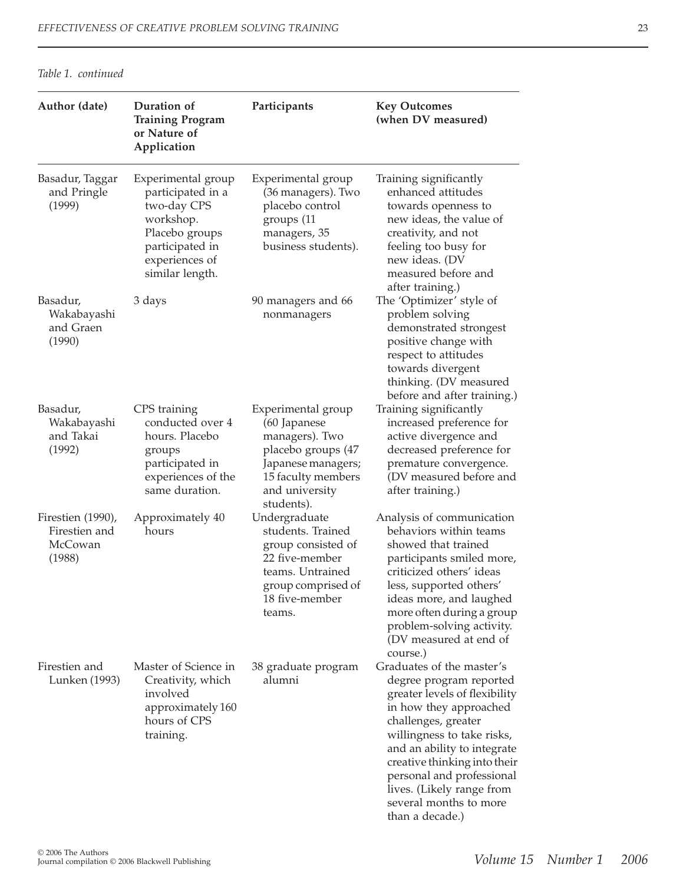| Author (date)                                           | Duration of<br><b>Training Program</b><br>or Nature of<br>Application                                                                         | Participants                                                                                                                                           | <b>Key Outcomes</b><br>(when DV measured)                                                                                                                                                                                                                                                                                                              |
|---------------------------------------------------------|-----------------------------------------------------------------------------------------------------------------------------------------------|--------------------------------------------------------------------------------------------------------------------------------------------------------|--------------------------------------------------------------------------------------------------------------------------------------------------------------------------------------------------------------------------------------------------------------------------------------------------------------------------------------------------------|
| Basadur, Taggar<br>and Pringle<br>(1999)                | Experimental group<br>participated in a<br>two-day CPS<br>workshop.<br>Placebo groups<br>participated in<br>experiences of<br>similar length. | Experimental group<br>(36 managers). Two<br>placebo control<br>groups (11)<br>managers, 35<br>business students).                                      | Training significantly<br>enhanced attitudes<br>towards openness to<br>new ideas, the value of<br>creativity, and not<br>feeling too busy for<br>new ideas. (DV<br>measured before and                                                                                                                                                                 |
| Basadur,<br>Wakabayashi<br>and Graen<br>(1990)          | 3 days                                                                                                                                        | 90 managers and 66<br>nonmanagers                                                                                                                      | after training.)<br>The 'Optimizer' style of<br>problem solving<br>demonstrated strongest<br>positive change with<br>respect to attitudes<br>towards divergent<br>thinking. (DV measured<br>before and after training.)                                                                                                                                |
| Basadur,<br>Wakabayashi<br>and Takai<br>(1992)          | CPS training<br>conducted over 4<br>hours. Placebo<br>groups<br>participated in<br>experiences of the<br>same duration.                       | Experimental group<br>(60 Japanese<br>managers). Two<br>placebo groups (47<br>Japanese managers;<br>15 faculty members<br>and university<br>students). | Training significantly<br>increased preference for<br>active divergence and<br>decreased preference for<br>premature convergence.<br>(DV measured before and<br>after training.)                                                                                                                                                                       |
| Firestien (1990),<br>Firestien and<br>McCowan<br>(1988) | Approximately 40<br>hours                                                                                                                     | Undergraduate<br>students. Trained<br>group consisted of<br>22 five-member<br>teams. Untrained<br>group comprised of<br>18 five-member<br>teams.       | Analysis of communication<br>behaviors within teams<br>showed that trained<br>participants smiled more,<br>criticized others' ideas<br>less, supported others'<br>ideas more, and laughed<br>more often during a group<br>problem-solving activity.<br>(DV measured at end of                                                                          |
| Firestien and<br>Lunken (1993)                          | Master of Science in<br>Creativity, which<br>involved<br>approximately 160<br>hours of CPS<br>training.                                       | 38 graduate program<br>alumni                                                                                                                          | course.)<br>Graduates of the master's<br>degree program reported<br>greater levels of flexibility<br>in how they approached<br>challenges, greater<br>willingness to take risks,<br>and an ability to integrate<br>creative thinking into their<br>personal and professional<br>lives. (Likely range from<br>several months to more<br>than a decade.) |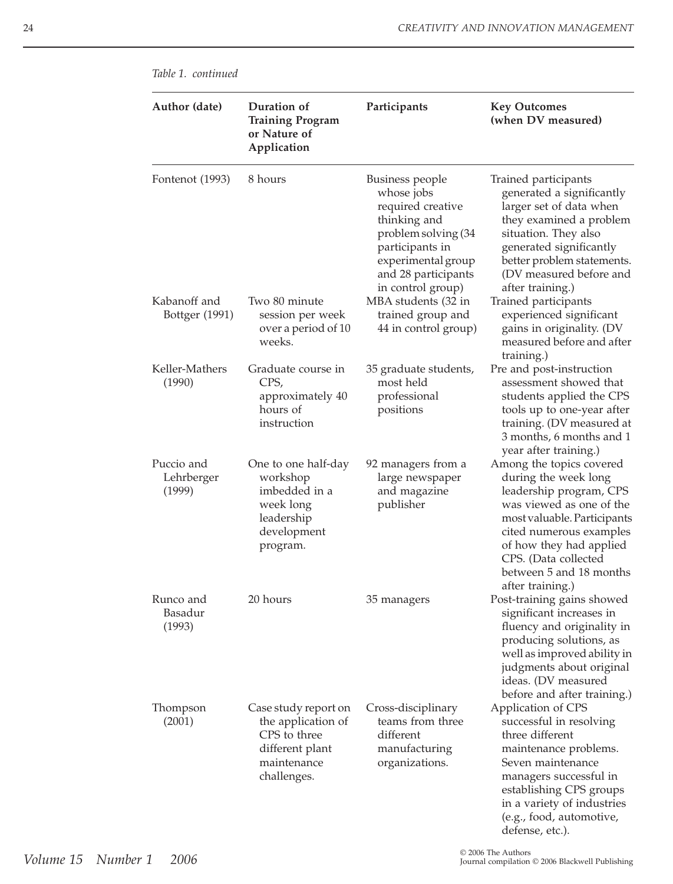| Author (date)                      | Duration of<br><b>Training Program</b><br>or Nature of<br>Application                                       | Participants                                                                                                                                                                   | <b>Key Outcomes</b><br>(when DV measured)                                                                                                                                                                                                                           |
|------------------------------------|-------------------------------------------------------------------------------------------------------------|--------------------------------------------------------------------------------------------------------------------------------------------------------------------------------|---------------------------------------------------------------------------------------------------------------------------------------------------------------------------------------------------------------------------------------------------------------------|
| Fontenot (1993)                    | 8 hours                                                                                                     | Business people<br>whose jobs<br>required creative<br>thinking and<br>problem solving (34<br>participants in<br>experimental group<br>and 28 participants<br>in control group) | Trained participants<br>generated a significantly<br>larger set of data when<br>they examined a problem<br>situation. They also<br>generated significantly<br>better problem statements.<br>(DV measured before and<br>after training.)                             |
| Kabanoff and<br>Bottger (1991)     | Two 80 minute<br>session per week<br>over a period of 10<br>weeks.                                          | MBA students (32 in<br>trained group and<br>44 in control group)                                                                                                               | Trained participants<br>experienced significant<br>gains in originality. (DV<br>measured before and after<br>training.)                                                                                                                                             |
| Keller-Mathers<br>(1990)           | Graduate course in<br>CPS,<br>approximately 40<br>hours of<br>instruction                                   | 35 graduate students,<br>most held<br>professional<br>positions                                                                                                                | Pre and post-instruction<br>assessment showed that<br>students applied the CPS<br>tools up to one-year after<br>training. (DV measured at<br>3 months, 6 months and 1<br>year after training.)                                                                      |
| Puccio and<br>Lehrberger<br>(1999) | One to one half-day<br>workshop<br>imbedded in a<br>week long<br>leadership<br>development<br>program.      | 92 managers from a<br>large newspaper<br>and magazine<br>publisher                                                                                                             | Among the topics covered<br>during the week long<br>leadership program, CPS<br>was viewed as one of the<br>most valuable. Participants<br>cited numerous examples<br>of how they had applied<br>CPS. (Data collected<br>between 5 and 18 months<br>after training.) |
| Runco and<br>Basadur<br>(1993)     | 20 hours                                                                                                    | 35 managers                                                                                                                                                                    | Post-training gains showed<br>significant increases in<br>fluency and originality in<br>producing solutions, as<br>well as improved ability in<br>judgments about original<br>ideas. (DV measured<br>before and after training.)                                    |
| Thompson<br>(2001)                 | Case study report on<br>the application of<br>CPS to three<br>different plant<br>maintenance<br>challenges. | Cross-disciplinary<br>teams from three<br>different<br>manufacturing<br>organizations.                                                                                         | Application of CPS<br>successful in resolving<br>three different<br>maintenance problems.<br>Seven maintenance<br>managers successful in<br>establishing CPS groups<br>in a variety of industries<br>(e.g., food, automotive,                                       |

*Table 1. continued*

defense, etc.).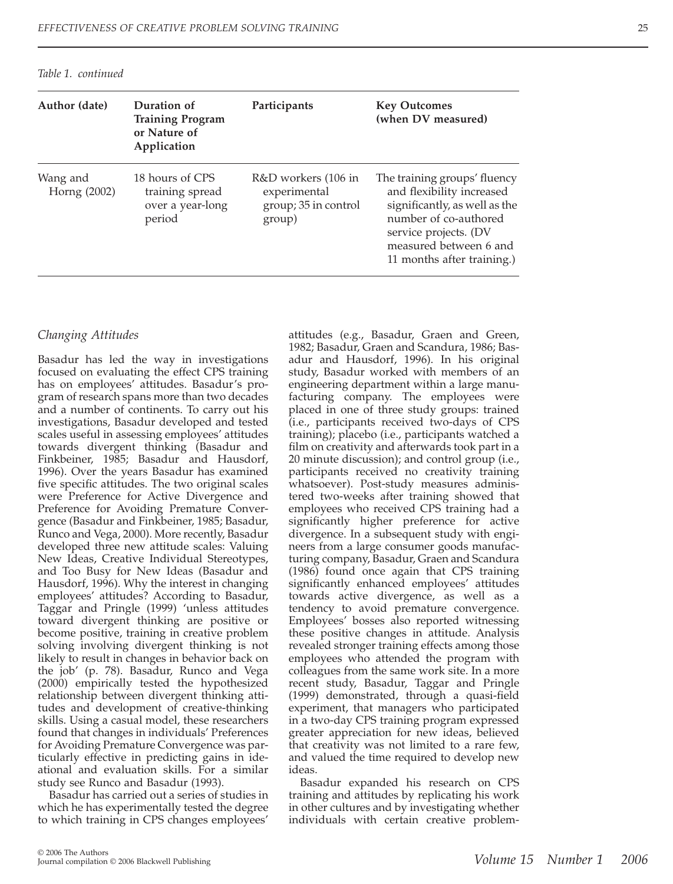| Author (date)            | Duration of<br><b>Training Program</b><br>or Nature of<br>Application | Participants                                                          | <b>Key Outcomes</b><br>(when DV measured)                                                                                                                                                            |
|--------------------------|-----------------------------------------------------------------------|-----------------------------------------------------------------------|------------------------------------------------------------------------------------------------------------------------------------------------------------------------------------------------------|
| Wang and<br>Horng (2002) | 18 hours of CPS<br>training spread<br>over a year-long<br>period      | R&D workers (106 in<br>experimental<br>group; 35 in control<br>group) | The training groups' fluency<br>and flexibility increased<br>significantly, as well as the<br>number of co-authored<br>service projects. (DV<br>measured between 6 and<br>11 months after training.) |

*Table 1. continued*

### *Changing Attitudes*

Basadur has led the way in investigations focused on evaluating the effect CPS training has on employees' attitudes. Basadur's program of research spans more than two decades and a number of continents. To carry out his investigations, Basadur developed and tested scales useful in assessing employees' attitudes towards divergent thinking (Basadur and Finkbeiner, 1985; Basadur and Hausdorf, 1996). Over the years Basadur has examined five specific attitudes. The two original scales were Preference for Active Divergence and Preference for Avoiding Premature Convergence (Basadur and Finkbeiner, 1985; Basadur, Runco and Vega, 2000). More recently, Basadur developed three new attitude scales: Valuing New Ideas, Creative Individual Stereotypes, and Too Busy for New Ideas (Basadur and Hausdorf, 1996). Why the interest in changing employees' attitudes? According to Basadur, Taggar and Pringle (1999) 'unless attitudes toward divergent thinking are positive or become positive, training in creative problem solving involving divergent thinking is not likely to result in changes in behavior back on the job' (p. 78). Basadur, Runco and Vega (2000) empirically tested the hypothesized relationship between divergent thinking attitudes and development of creative-thinking skills. Using a casual model, these researchers found that changes in individuals' Preferences for Avoiding Premature Convergence was particularly effective in predicting gains in ideational and evaluation skills. For a similar study see Runco and Basadur (1993).

Basadur has carried out a series of studies in which he has experimentally tested the degree to which training in CPS changes employees'

attitudes (e.g., Basadur, Graen and Green, 1982; Basadur, Graen and Scandura, 1986; Basadur and Hausdorf, 1996). In his original study, Basadur worked with members of an engineering department within a large manufacturing company. The employees were placed in one of three study groups: trained (i.e., participants received two-days of CPS training); placebo (i.e., participants watched a film on creativity and afterwards took part in a 20 minute discussion); and control group (i.e., participants received no creativity training whatsoever). Post-study measures administered two-weeks after training showed that employees who received CPS training had a significantly higher preference for active divergence. In a subsequent study with engineers from a large consumer goods manufacturing company, Basadur, Graen and Scandura (1986) found once again that CPS training significantly enhanced employees' attitudes towards active divergence, as well as a tendency to avoid premature convergence. Employees' bosses also reported witnessing these positive changes in attitude. Analysis revealed stronger training effects among those employees who attended the program with colleagues from the same work site. In a more recent study, Basadur, Taggar and Pringle (1999) demonstrated, through a quasi-field experiment, that managers who participated in a two-day CPS training program expressed greater appreciation for new ideas, believed that creativity was not limited to a rare few, and valued the time required to develop new ideas.

Basadur expanded his research on CPS training and attitudes by replicating his work in other cultures and by investigating whether individuals with certain creative problem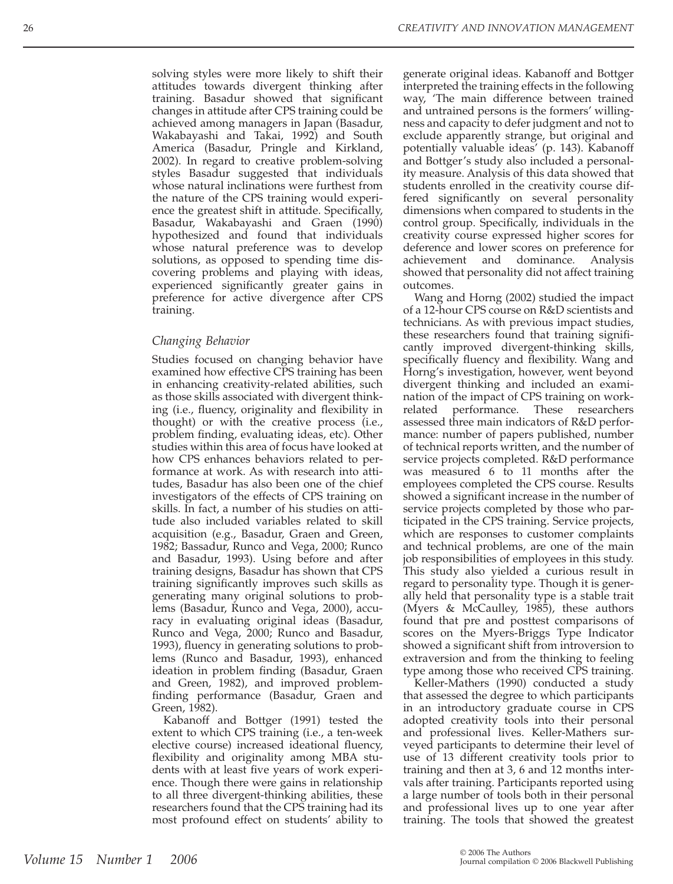solving styles were more likely to shift their attitudes towards divergent thinking after training. Basadur showed that significant changes in attitude after CPS training could be achieved among managers in Japan (Basadur, Wakabayashi and Takai, 1992) and South America (Basadur, Pringle and Kirkland, 2002). In regard to creative problem-solving styles Basadur suggested that individuals whose natural inclinations were furthest from the nature of the CPS training would experience the greatest shift in attitude. Specifically, Basadur, Wakabayashi and Graen (1990) hypothesized and found that individuals whose natural preference was to develop solutions, as opposed to spending time discovering problems and playing with ideas, experienced significantly greater gains in preference for active divergence after CPS training.

### *Changing Behavior*

Studies focused on changing behavior have examined how effective CPS training has been in enhancing creativity-related abilities, such as those skills associated with divergent thinking (i.e., fluency, originality and flexibility in thought) or with the creative process (i.e., problem finding, evaluating ideas, etc). Other studies within this area of focus have looked at how CPS enhances behaviors related to performance at work. As with research into attitudes, Basadur has also been one of the chief investigators of the effects of CPS training on skills. In fact, a number of his studies on attitude also included variables related to skill acquisition (e.g., Basadur, Graen and Green, 1982; Bassadur, Runco and Vega, 2000; Runco and Basadur, 1993). Using before and after training designs, Basadur has shown that CPS training significantly improves such skills as generating many original solutions to problems (Basadur, Runco and Vega, 2000), accuracy in evaluating original ideas (Basadur, Runco and Vega, 2000; Runco and Basadur, 1993), fluency in generating solutions to problems (Runco and Basadur, 1993), enhanced ideation in problem finding (Basadur, Graen and Green, 1982), and improved problemfinding performance (Basadur, Graen and Green, 1982).

Kabanoff and Bottger (1991) tested the extent to which CPS training (i.e., a ten-week elective course) increased ideational fluency, flexibility and originality among MBA students with at least five years of work experience. Though there were gains in relationship to all three divergent-thinking abilities, these researchers found that the CPS training had its most profound effect on students' ability to generate original ideas. Kabanoff and Bottger interpreted the training effects in the following way, 'The main difference between trained and untrained persons is the formers' willingness and capacity to defer judgment and not to exclude apparently strange, but original and potentially valuable ideas' (p. 143). Kabanoff and Bottger's study also included a personality measure. Analysis of this data showed that students enrolled in the creativity course differed significantly on several personality dimensions when compared to students in the control group. Specifically, individuals in the creativity course expressed higher scores for deference and lower scores on preference for achievement and dominance. Analysis showed that personality did not affect training outcomes.

Wang and Horng (2002) studied the impact of a 12-hour CPS course on R&D scientists and technicians. As with previous impact studies, these researchers found that training significantly improved divergent-thinking skills, specifically fluency and flexibility. Wang and Horng's investigation, however, went beyond divergent thinking and included an examination of the impact of CPS training on workrelated performance. These researchers assessed three main indicators of R&D performance: number of papers published, number of technical reports written, and the number of service projects completed. R&D performance was measured 6 to 11 months after the employees completed the CPS course. Results showed a significant increase in the number of service projects completed by those who participated in the CPS training. Service projects, which are responses to customer complaints and technical problems, are one of the main job responsibilities of employees in this study. This study also yielded a curious result in regard to personality type. Though it is generally held that personality type is a stable trait (Myers & McCaulley, 1985), these authors found that pre and posttest comparisons of scores on the Myers-Briggs Type Indicator showed a significant shift from introversion to extraversion and from the thinking to feeling type among those who received CPS training.

Keller-Mathers (1990) conducted a study that assessed the degree to which participants in an introductory graduate course in CPS adopted creativity tools into their personal and professional lives. Keller-Mathers surveyed participants to determine their level of use of 13 different creativity tools prior to training and then at 3, 6 and 12 months intervals after training. Participants reported using a large number of tools both in their personal and professional lives up to one year after training. The tools that showed the greatest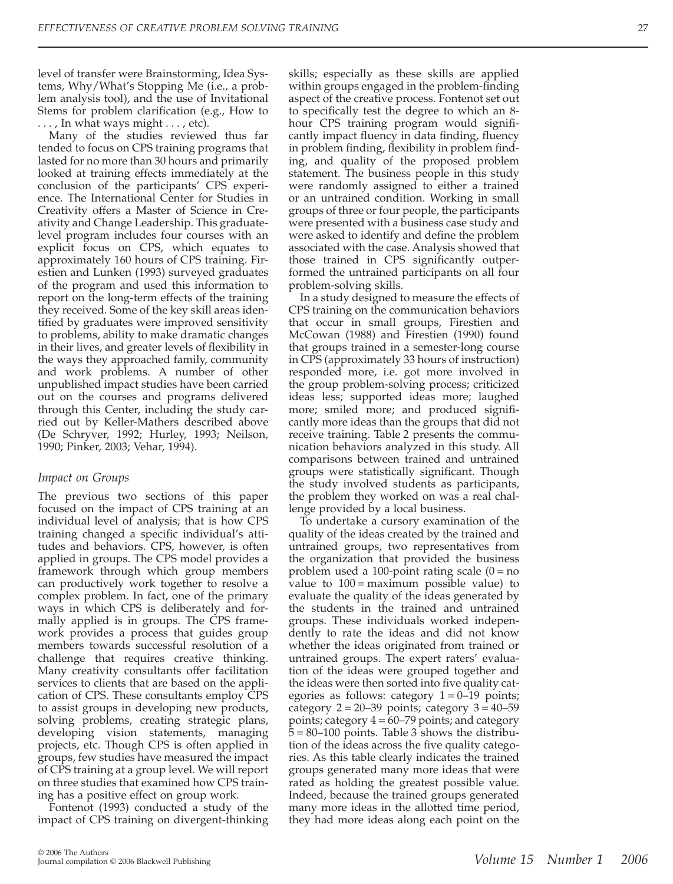level of transfer were Brainstorming, Idea Systems, Why/What's Stopping Me (i.e., a problem analysis tool), and the use of Invitational Stems for problem clarification (e.g., How to . . . , In what ways might . . . , etc).

Many of the studies reviewed thus far tended to focus on CPS training programs that lasted for no more than 30 hours and primarily looked at training effects immediately at the conclusion of the participants' CPS experience. The International Center for Studies in Creativity offers a Master of Science in Creativity and Change Leadership. This graduatelevel program includes four courses with an explicit focus on CPS, which equates to approximately 160 hours of CPS training. Firestien and Lunken (1993) surveyed graduates of the program and used this information to report on the long-term effects of the training they received. Some of the key skill areas identified by graduates were improved sensitivity to problems, ability to make dramatic changes in their lives, and greater levels of flexibility in the ways they approached family, community and work problems. A number of other unpublished impact studies have been carried out on the courses and programs delivered through this Center, including the study carried out by Keller-Mathers described above (De Schryver, 1992; Hurley, 1993; Neilson, 1990; Pinker, 2003; Vehar, 1994).

#### *Impact on Groups*

The previous two sections of this paper focused on the impact of CPS training at an individual level of analysis; that is how CPS training changed a specific individual's attitudes and behaviors. CPS, however, is often applied in groups. The CPS model provides a framework through which group members can productively work together to resolve a complex problem. In fact, one of the primary ways in which CPS is deliberately and formally applied is in groups. The CPS framework provides a process that guides group members towards successful resolution of a challenge that requires creative thinking. Many creativity consultants offer facilitation services to clients that are based on the application of CPS. These consultants employ CPS to assist groups in developing new products, solving problems, creating strategic plans, developing vision statements, managing projects, etc. Though CPS is often applied in groups, few studies have measured the impact of CPS training at a group level. We will report on three studies that examined how CPS training has a positive effect on group work.

Fontenot (1993) conducted a study of the impact of CPS training on divergent-thinking

skills; especially as these skills are applied within groups engaged in the problem-finding aspect of the creative process. Fontenot set out to specifically test the degree to which an 8 hour CPS training program would significantly impact fluency in data finding, fluency in problem finding, flexibility in problem finding, and quality of the proposed problem statement. The business people in this study were randomly assigned to either a trained or an untrained condition. Working in small groups of three or four people, the participants were presented with a business case study and were asked to identify and define the problem associated with the case. Analysis showed that those trained in CPS significantly outperformed the untrained participants on all four problem-solving skills.

In a study designed to measure the effects of CPS training on the communication behaviors that occur in small groups, Firestien and McCowan (1988) and Firestien (1990) found that groups trained in a semester-long course in CPS (approximately 33 hours of instruction) responded more, i.e. got more involved in the group problem-solving process; criticized ideas less; supported ideas more; laughed more; smiled more; and produced significantly more ideas than the groups that did not receive training. Table 2 presents the communication behaviors analyzed in this study. All comparisons between trained and untrained groups were statistically significant. Though the study involved students as participants, the problem they worked on was a real challenge provided by a local business.

To undertake a cursory examination of the quality of the ideas created by the trained and untrained groups, two representatives from the organization that provided the business problem used a 100-point rating scale  $(0 = no$ value to  $100 =$  maximum possible value) to evaluate the quality of the ideas generated by the students in the trained and untrained groups. These individuals worked independently to rate the ideas and did not know whether the ideas originated from trained or untrained groups. The expert raters' evaluation of the ideas were grouped together and the ideas were then sorted into five quality categories as follows: category  $1 = 0-19$  points; category  $2 = 20 - 39$  points; category  $3 = 40 - 59$ points; category  $4 = 60 - 79$  points; and category  $5 = 80 - 100$  points. Table 3 shows the distribution of the ideas across the five quality categories. As this table clearly indicates the trained groups generated many more ideas that were rated as holding the greatest possible value. Indeed, because the trained groups generated many more ideas in the allotted time period, they had more ideas along each point on the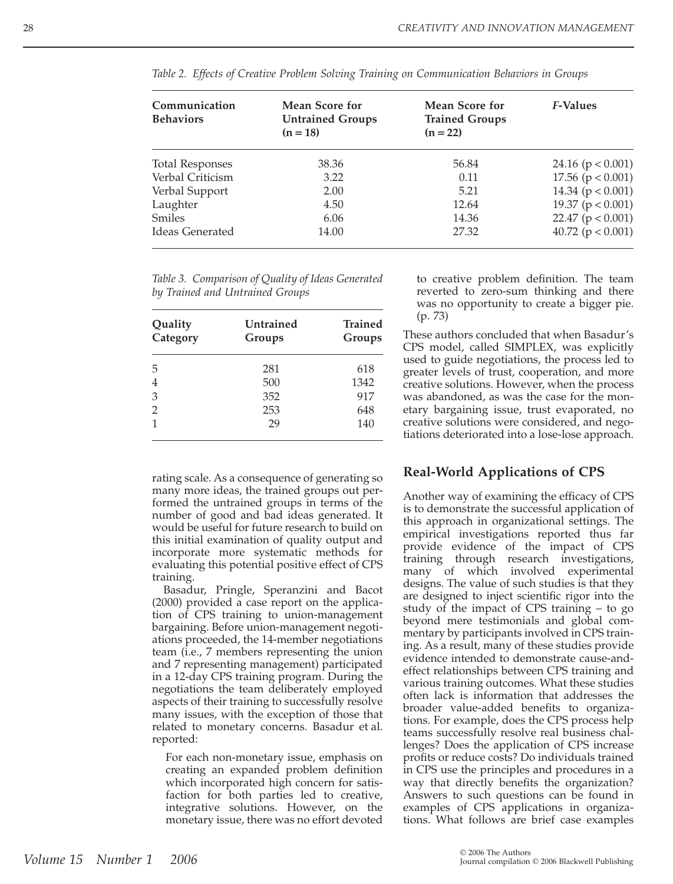| Communication<br><b>Behaviors</b> | Mean Score for<br><b>Untrained Groups</b><br>$(n = 18)$ | <b>Mean Score for</b><br><b>Trained Groups</b><br>$(n = 22)$ | <b>F-Values</b>       |
|-----------------------------------|---------------------------------------------------------|--------------------------------------------------------------|-----------------------|
| <b>Total Responses</b>            | 38.36                                                   | 56.84                                                        | 24.16 ( $p < 0.001$ ) |
| Verbal Criticism                  | 3.22                                                    | 0.11                                                         | 17.56 ( $p < 0.001$ ) |
| Verbal Support                    | 2.00                                                    | 5.21                                                         | 14.34 ( $p < 0.001$ ) |
| Laughter                          | 4.50                                                    | 12.64                                                        | 19.37 ( $p < 0.001$ ) |
| <b>Smiles</b>                     | 6.06                                                    | 14.36                                                        | 22.47 ( $p < 0.001$ ) |
| Ideas Generated                   | 14.00                                                   | 27.32                                                        | 40.72 ( $p < 0.001$ ) |

*Table 2. Effects of Creative Problem Solving Training on Communication Behaviors in Groups*

*Table 3. Comparison of Quality of Ideas Generated by Trained and Untrained Groups*

| Quality<br>Category | Untrained<br>Groups | <b>Trained</b><br>Groups |
|---------------------|---------------------|--------------------------|
| 5                   | 281                 | 618                      |
| $\overline{4}$      | 500                 | 1342                     |
| 3                   | 352                 | 917                      |
| $\overline{2}$      | 253                 | 648                      |
|                     | 29                  | 140                      |

rating scale. As a consequence of generating so many more ideas, the trained groups out performed the untrained groups in terms of the number of good and bad ideas generated. It would be useful for future research to build on this initial examination of quality output and incorporate more systematic methods for evaluating this potential positive effect of CPS training.

Basadur, Pringle, Speranzini and Bacot (2000) provided a case report on the application of CPS training to union-management bargaining. Before union-management negotiations proceeded, the 14-member negotiations team (i.e., 7 members representing the union and 7 representing management) participated in a 12-day CPS training program. During the negotiations the team deliberately employed aspects of their training to successfully resolve many issues, with the exception of those that related to monetary concerns. Basadur et al. reported:

For each non-monetary issue, emphasis on creating an expanded problem definition which incorporated high concern for satisfaction for both parties led to creative, integrative solutions. However, on the monetary issue, there was no effort devoted to creative problem definition. The team reverted to zero-sum thinking and there was no opportunity to create a bigger pie. (p. 73)

These authors concluded that when Basadur's CPS model, called SIMPLEX, was explicitly used to guide negotiations, the process led to greater levels of trust, cooperation, and more creative solutions. However, when the process was abandoned, as was the case for the monetary bargaining issue, trust evaporated, no creative solutions were considered, and negotiations deteriorated into a lose-lose approach.

## **Real-World Applications of CPS**

Another way of examining the efficacy of CPS is to demonstrate the successful application of this approach in organizational settings. The empirical investigations reported thus far provide evidence of the impact of CPS training through research investigations, many of which involved experimental designs. The value of such studies is that they are designed to inject scientific rigor into the study of the impact of CPS training – to go beyond mere testimonials and global commentary by participants involved in CPS training. As a result, many of these studies provide evidence intended to demonstrate cause-andeffect relationships between CPS training and various training outcomes. What these studies often lack is information that addresses the broader value-added benefits to organizations. For example, does the CPS process help teams successfully resolve real business challenges? Does the application of CPS increase profits or reduce costs? Do individuals trained in CPS use the principles and procedures in a way that directly benefits the organization? Answers to such questions can be found in examples of CPS applications in organizations. What follows are brief case examples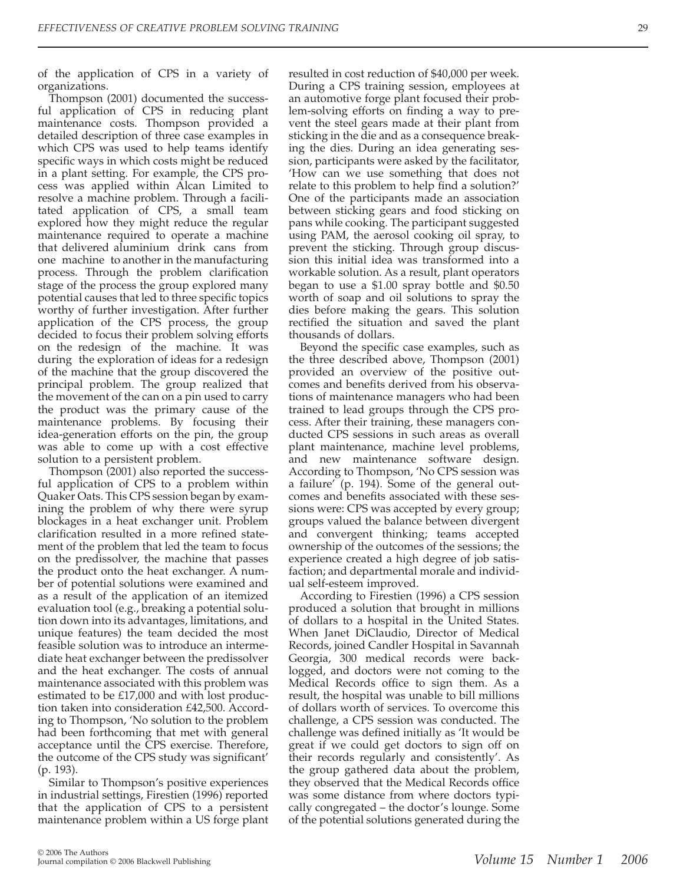of the application of CPS in a variety of organizations.

Thompson (2001) documented the successful application of CPS in reducing plant maintenance costs. Thompson provided a detailed description of three case examples in which CPS was used to help teams identify specific ways in which costs might be reduced in a plant setting. For example, the CPS process was applied within Alcan Limited to resolve a machine problem. Through a facilitated application of CPS, a small team explored how they might reduce the regular maintenance required to operate a machine that delivered aluminium drink cans from one machine to another in the manufacturing process. Through the problem clarification stage of the process the group explored many potential causes that led to three specific topics worthy of further investigation. After further application of the CPS process, the group decided to focus their problem solving efforts on the redesign of the machine. It was during the exploration of ideas for a redesign of the machine that the group discovered the principal problem. The group realized that the movement of the can on a pin used to carry the product was the primary cause of the maintenance problems. By focusing their idea-generation efforts on the pin, the group was able to come up with a cost effective solution to a persistent problem.

Thompson (2001) also reported the successful application of CPS to a problem within Quaker Oats. This CPS session began by examining the problem of why there were syrup blockages in a heat exchanger unit. Problem clarification resulted in a more refined statement of the problem that led the team to focus on the predissolver, the machine that passes the product onto the heat exchanger. A number of potential solutions were examined and as a result of the application of an itemized evaluation tool (e.g., breaking a potential solution down into its advantages, limitations, and unique features) the team decided the most feasible solution was to introduce an intermediate heat exchanger between the predissolver and the heat exchanger. The costs of annual maintenance associated with this problem was estimated to be £17,000 and with lost production taken into consideration £42,500. According to Thompson, 'No solution to the problem had been forthcoming that met with general acceptance until the CPS exercise. Therefore, the outcome of the CPS study was significant' (p. 193).

Similar to Thompson's positive experiences in industrial settings, Firestien (1996) reported that the application of CPS to a persistent maintenance problem within a US forge plant

resulted in cost reduction of \$40,000 per week. During a CPS training session, employees at an automotive forge plant focused their problem-solving efforts on finding a way to prevent the steel gears made at their plant from sticking in the die and as a consequence breaking the dies. During an idea generating session, participants were asked by the facilitator, 'How can we use something that does not relate to this problem to help find a solution?' One of the participants made an association between sticking gears and food sticking on pans while cooking. The participant suggested using PAM, the aerosol cooking oil spray, to prevent the sticking. Through group discussion this initial idea was transformed into a workable solution. As a result, plant operators began to use a \$1.00 spray bottle and \$0.50 worth of soap and oil solutions to spray the dies before making the gears. This solution rectified the situation and saved the plant thousands of dollars.

Beyond the specific case examples, such as the three described above, Thompson (2001) provided an overview of the positive outcomes and benefits derived from his observations of maintenance managers who had been trained to lead groups through the CPS process. After their training, these managers conducted CPS sessions in such areas as overall plant maintenance, machine level problems, and new maintenance software design. According to Thompson, 'No CPS session was a failure' (p. 194). Some of the general outcomes and benefits associated with these sessions were: CPS was accepted by every group; groups valued the balance between divergent and convergent thinking; teams accepted ownership of the outcomes of the sessions; the experience created a high degree of job satisfaction; and departmental morale and individual self-esteem improved.

According to Firestien (1996) a CPS session produced a solution that brought in millions of dollars to a hospital in the United States. When Janet DiClaudio, Director of Medical Records, joined Candler Hospital in Savannah Georgia, 300 medical records were backlogged, and doctors were not coming to the Medical Records office to sign them. As a result, the hospital was unable to bill millions of dollars worth of services. To overcome this challenge, a CPS session was conducted. The challenge was defined initially as 'It would be great if we could get doctors to sign off on their records regularly and consistently'. As the group gathered data about the problem, they observed that the Medical Records office was some distance from where doctors typically congregated – the doctor's lounge. Some of the potential solutions generated during the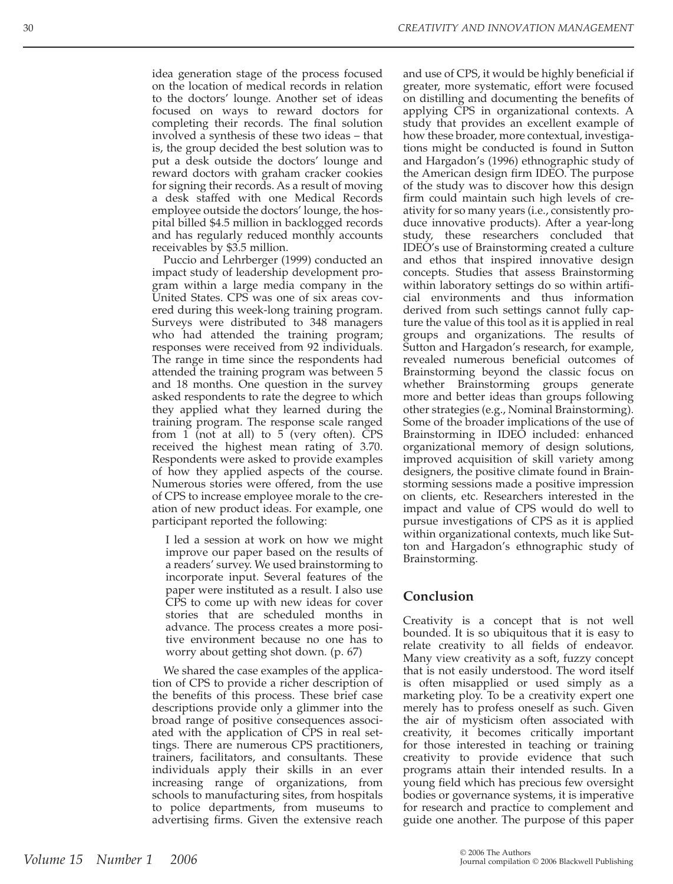idea generation stage of the process focused on the location of medical records in relation to the doctors' lounge. Another set of ideas focused on ways to reward doctors for completing their records. The final solution involved a synthesis of these two ideas – that is, the group decided the best solution was to put a desk outside the doctors' lounge and reward doctors with graham cracker cookies for signing their records. As a result of moving a desk staffed with one Medical Records employee outside the doctors' lounge, the hospital billed \$4.5 million in backlogged records and has regularly reduced monthly accounts receivables by \$3.5 million.

Puccio and Lehrberger (1999) conducted an impact study of leadership development program within a large media company in the United States. CPS was one of six areas covered during this week-long training program. Surveys were distributed to 348 managers who had attended the training program; responses were received from 92 individuals. The range in time since the respondents had attended the training program was between 5 and 18 months. One question in the survey asked respondents to rate the degree to which they applied what they learned during the training program. The response scale ranged from 1 (not at all) to 5 (very often). CPS received the highest mean rating of 3.70. Respondents were asked to provide examples of how they applied aspects of the course. Numerous stories were offered, from the use of CPS to increase employee morale to the creation of new product ideas. For example, one participant reported the following:

I led a session at work on how we might improve our paper based on the results of a readers' survey. We used brainstorming to incorporate input. Several features of the paper were instituted as a result. I also use CPS to come up with new ideas for cover stories that are scheduled months in advance. The process creates a more positive environment because no one has to worry about getting shot down. (p. 67)

We shared the case examples of the application of CPS to provide a richer description of the benefits of this process. These brief case descriptions provide only a glimmer into the broad range of positive consequences associated with the application of CPS in real settings. There are numerous CPS practitioners, trainers, facilitators, and consultants. These individuals apply their skills in an ever increasing range of organizations, from schools to manufacturing sites, from hospitals to police departments, from museums to advertising firms. Given the extensive reach

and use of CPS, it would be highly beneficial if greater, more systematic, effort were focused on distilling and documenting the benefits of applying CPS in organizational contexts. A study that provides an excellent example of how these broader, more contextual, investigations might be conducted is found in Sutton and Hargadon's (1996) ethnographic study of the American design firm IDEO. The purpose of the study was to discover how this design firm could maintain such high levels of creativity for so many years (i.e., consistently produce innovative products). After a year-long study, these researchers concluded that IDEO's use of Brainstorming created a culture and ethos that inspired innovative design concepts. Studies that assess Brainstorming within laboratory settings do so within artificial environments and thus information derived from such settings cannot fully capture the value of this tool as it is applied in real groups and organizations. The results of Sutton and Hargadon's research, for example, revealed numerous beneficial outcomes of Brainstorming beyond the classic focus on whether Brainstorming groups generate more and better ideas than groups following other strategies (e.g., Nominal Brainstorming). Some of the broader implications of the use of Brainstorming in IDEO included: enhanced organizational memory of design solutions, improved acquisition of skill variety among designers, the positive climate found in Brainstorming sessions made a positive impression on clients, etc. Researchers interested in the impact and value of CPS would do well to pursue investigations of CPS as it is applied within organizational contexts, much like Sutton and Hargadon's ethnographic study of Brainstorming.

## **Conclusion**

Creativity is a concept that is not well bounded. It is so ubiquitous that it is easy to relate creativity to all fields of endeavor. Many view creativity as a soft, fuzzy concept that is not easily understood. The word itself is often misapplied or used simply as a marketing ploy. To be a creativity expert one merely has to profess oneself as such. Given the air of mysticism often associated with creativity, it becomes critically important for those interested in teaching or training creativity to provide evidence that such programs attain their intended results. In a young field which has precious few oversight bodies or governance systems, it is imperative for research and practice to complement and guide one another. The purpose of this paper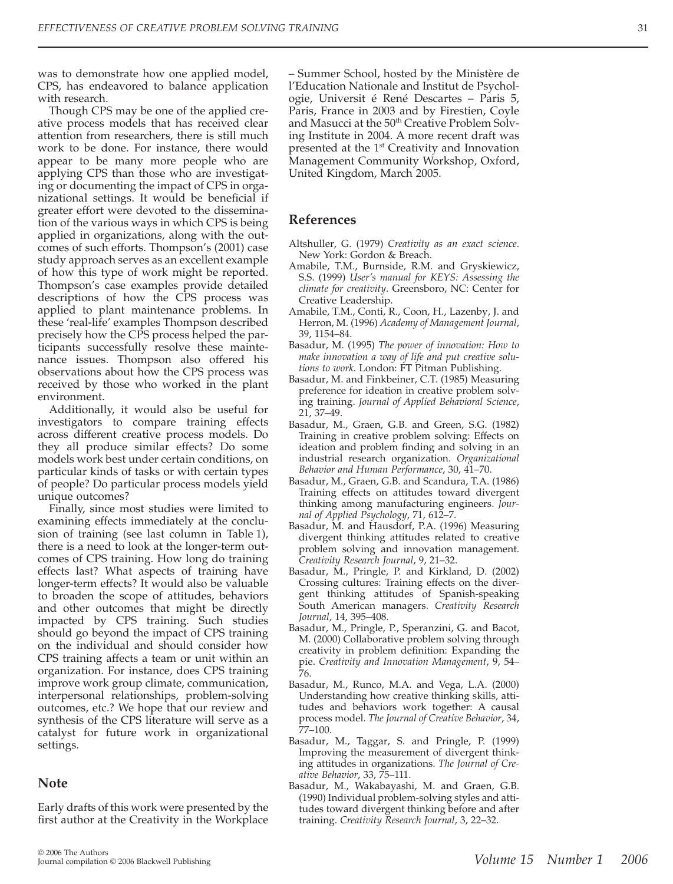was to demonstrate how one applied model, CPS, has endeavored to balance application with research.

Though CPS may be one of the applied creative process models that has received clear attention from researchers, there is still much work to be done. For instance, there would appear to be many more people who are applying CPS than those who are investigating or documenting the impact of CPS in organizational settings. It would be beneficial if greater effort were devoted to the dissemination of the various ways in which CPS is being applied in organizations, along with the outcomes of such efforts. Thompson's (2001) case study approach serves as an excellent example of how this type of work might be reported. Thompson's case examples provide detailed descriptions of how the CPS process was applied to plant maintenance problems. In these 'real-life' examples Thompson described precisely how the CPS process helped the participants successfully resolve these maintenance issues. Thompson also offered his observations about how the CPS process was received by those who worked in the plant environment.

Additionally, it would also be useful for investigators to compare training effects across different creative process models. Do they all produce similar effects? Do some models work best under certain conditions, on particular kinds of tasks or with certain types of people? Do particular process models yield unique outcomes?

Finally, since most studies were limited to examining effects immediately at the conclusion of training (see last column in Table 1), there is a need to look at the longer-term outcomes of CPS training. How long do training effects last? What aspects of training have longer-term effects? It would also be valuable to broaden the scope of attitudes, behaviors and other outcomes that might be directly impacted by CPS training. Such studies should go beyond the impact of CPS training on the individual and should consider how CPS training affects a team or unit within an organization. For instance, does CPS training improve work group climate, communication, interpersonal relationships, problem-solving outcomes, etc.? We hope that our review and synthesis of the CPS literature will serve as a catalyst for future work in organizational settings.

### **Note**

Early drafts of this work were presented by the first author at the Creativity in the Workplace

– Summer School, hosted by the Ministère de l'Education Nationale and Institut de Psychologie, Universit é René Descartes – Paris 5, Paris, France in 2003 and by Firestien, Coyle and Masucci at the 50<sup>th</sup> Creative Problem Solving Institute in 2004. A more recent draft was presented at the  $1<sup>st</sup>$  Creativity and Innovation Management Community Workshop, Oxford, United Kingdom, March 2005.

### **References**

- Altshuller, G. (1979) *Creativity as an exact science*. New York: Gordon & Breach.
- Amabile, T.M., Burnside, R.M. and Gryskiewicz, S.S. (1999) *User's manual for KEYS: Assessing the climate for creativity*. Greensboro, NC: Center for Creative Leadership.
- Amabile, T.M., Conti, R., Coon, H., Lazenby, J. and Herron, M. (1996) *Academy of Management Journal*, 39, 1154–84.
- Basadur, M. (1995) *The power of innovation: How to make innovation a way of life and put creative solutions to work*. London: FT Pitman Publishing.
- Basadur, M. and Finkbeiner, C.T. (1985) Measuring preference for ideation in creative problem solving training. *Journal of Applied Behavioral Science*, 21, 37–49.
- Basadur, M., Graen, G.B. and Green, S.G. (1982) Training in creative problem solving: Effects on ideation and problem finding and solving in an industrial research organization. *Organizational Behavior and Human Performance*, 30, 41–70.
- Basadur, M., Graen, G.B. and Scandura, T.A. (1986) Training effects on attitudes toward divergent thinking among manufacturing engineers. *Journal of Applied Psychology*, 71, 612–7.
- Basadur, M. and Hausdorf, P.A. (1996) Measuring divergent thinking attitudes related to creative problem solving and innovation management. *Creativity Research Journal*, 9, 21–32.
- Basadur, M., Pringle, P. and Kirkland, D. (2002) Crossing cultures: Training effects on the divergent thinking attitudes of Spanish-speaking South American managers. *Creativity Research Journal*, 14, 395–408.
- Basadur, M., Pringle, P., Speranzini, G. and Bacot, M. (2000) Collaborative problem solving through creativity in problem definition: Expanding the pie. *Creativity and Innovation Management*, 9, 54– 76.
- Basadur, M., Runco, M.A. and Vega, L.A. (2000) Understanding how creative thinking skills, attitudes and behaviors work together: A causal process model. *The Journal of Creative Behavior*, 34, 77–100.
- Basadur, M., Taggar, S. and Pringle, P. (1999) Improving the measurement of divergent thinking attitudes in organizations. *The Journal of Creative Behavior*, 33, 75–111.
- Basadur, M., Wakabayashi, M. and Graen, G.B. (1990) Individual problem-solving styles and attitudes toward divergent thinking before and after training. *Creativity Research Journal*, 3, 22–32.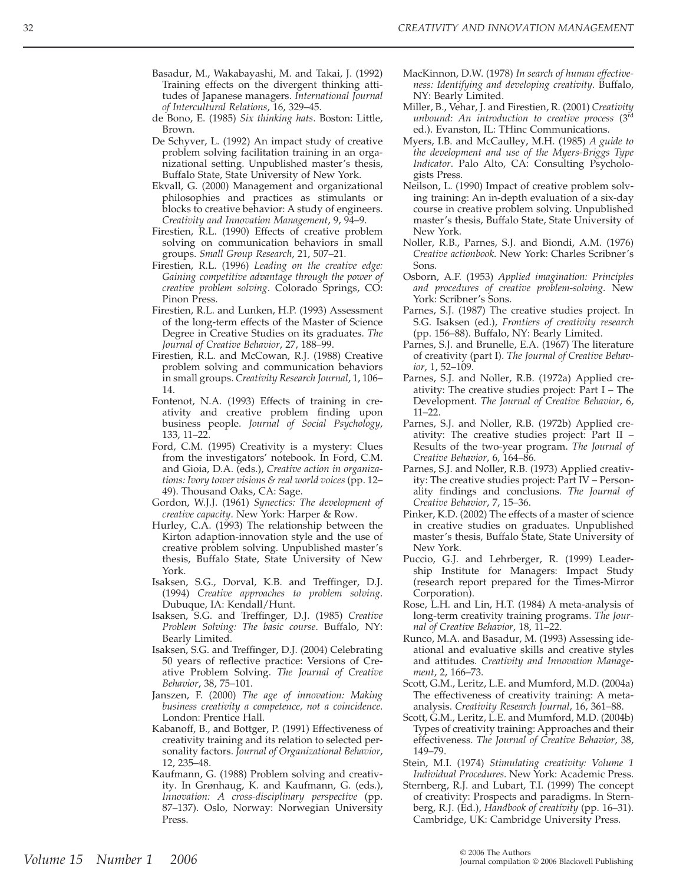© 2006 The Authors *Volume 15 Number 1 2006* Journal compilation © 2006 Blackwell Publishing

- Basadur, M., Wakabayashi, M. and Takai, J. (1992) Training effects on the divergent thinking attitudes of Japanese managers. *International Journal*
- *of Intercultural Relations*, 16, 329–45. de Bono, E. (1985) *Six thinking hats*. Boston: Little, Brown.
- De Schyver, L. (1992) An impact study of creative problem solving facilitation training in an organizational setting. Unpublished master's thesis, Buffalo State, State University of New York.
- Ekvall, G. (2000) Management and organizational philosophies and practices as stimulants or blocks to creative behavior: A study of engineers. *Creativity and Innovation Management*, 9, 94–9.
- Firestien, R.L. (1990) Effects of creative problem solving on communication behaviors in small groups. *Small Group Research*, 21, 507–21.
- Firestien, R.L. (1996) *Leading on the creative edge: Gaining competitive advantage through the power of creative problem solving*. Colorado Springs, CO: Pinon Press.
- Firestien, R.L. and Lunken, H.P. (1993) Assessment of the long-term effects of the Master of Science Degree in Creative Studies on its graduates. *The Journal of Creative Behavior*, 27, 188–99.
- Firestien, R.L. and McCowan, R.J. (1988) Creative problem solving and communication behaviors in small groups. *Creativity Research Journal*, 1, 106– 14.
- Fontenot, N.A. (1993) Effects of training in creativity and creative problem finding upon business people. *Journal of Social Psychology*, 133, 11–22.
- Ford, C.M. (1995) Creativity is a mystery: Clues from the investigators' notebook. In Ford, C.M. and Gioia, D.A. (eds.), *Creative action in organizations: Ivory tower visions & real world voices* (pp. 12– 49). Thousand Oaks, CA: Sage.
- Gordon, W.J.J. (1961) *Synectics: The development of creative capacity*. New York: Harper & Row.
- Hurley, C.A. (1993) The relationship between the Kirton adaption-innovation style and the use of creative problem solving. Unpublished master's thesis, Buffalo State, State University of New York.
- Isaksen, S.G., Dorval, K.B. and Treffinger, D.J. (1994) *Creative approaches to problem solving*. Dubuque, IA: Kendall/Hunt.
- Isaksen, S.G. and Treffinger, D.J. (1985) *Creative Problem Solving: The basic course*. Buffalo, NY: Bearly Limited.
- Isaksen, S.G. and Treffinger, D.J. (2004) Celebrating 50 years of reflective practice: Versions of Creative Problem Solving. *The Journal of Creative Behavior*, 38, 75–101.
- Janszen, F. (2000) *The age of innovation: Making business creativity a competence, not a coincidence*. London: Prentice Hall.
- Kabanoff, B., and Bottger, P. (1991) Effectiveness of creativity training and its relation to selected personality factors. *Journal of Organizational Behavior*, 12, 235–48.
- Kaufmann, G. (1988) Problem solving and creativity. In Grønhaug, K. and Kaufmann, G. (eds.), *Innovation: A cross-disciplinary perspective* (pp. 87–137). Oslo, Norway: Norwegian University Press.
- MacKinnon, D.W. (1978) *In search of human effectiveness: Identifying and developing creativity*. Buffalo, NY: Bearly Limited.
- Miller, B., Vehar, J. and Firestien, R. (2001) *Creativity unbound: An introduction to creative process* (3rd ed.). Evanston, IL: THinc Communications.
- Myers, I.B. and McCaulley, M.H. (1985) *A guide to the development and use of the Myers-Briggs Type Indicator*. Palo Alto, CA: Consulting Psychologists Press.
- Neilson, L. (1990) Impact of creative problem solving training: An in-depth evaluation of a six-day course in creative problem solving. Unpublished master's thesis, Buffalo State, State University of New York.
- Noller, R.B., Parnes, S.J. and Biondi, A.M. (1976) *Creative actionbook*. New York: Charles Scribner's Sons.
- Osborn, A.F. (1953) *Applied imagination: Principles and procedures of creative problem-solving*. New York: Scribner's Sons.
- Parnes, S.J. (1987) The creative studies project. In S.G. Isaksen (ed.), *Frontiers of creativity research* (pp. 156–88). Buffalo, NY: Bearly Limited.
- Parnes, S.J. and Brunelle, E.A. (1967) The literature of creativity (part I). *The Journal of Creative Behavior*, 1, 52–109.
- Parnes, S.J. and Noller, R.B. (1972a) Applied creativity: The creative studies project: Part I – The Development. *The Journal of Creative Behavior*, 6, 11–22.
- Parnes, S.J. and Noller, R.B. (1972b) Applied creativity: The creative studies project: Part II – Results of the two-year program. *The Journal of Creative Behavior*, 6, 164–86.
- Parnes, S.J. and Noller, R.B. (1973) Applied creativity: The creative studies project: Part IV – Personality findings and conclusions. *The Journal of Creative Behavior*, 7, 15–36.
- Pinker, K.D. (2002) The effects of a master of science in creative studies on graduates. Unpublished master's thesis, Buffalo State, State University of New York.
- Puccio, G.J. and Lehrberger, R. (1999) Leadership Institute for Managers: Impact Study (research report prepared for the Times-Mirror Corporation).
- Rose, L.H. and Lin, H.T. (1984) A meta-analysis of long-term creativity training programs. *The Journal of Creative Behavior*, 18, 11–22.
- Runco, M.A. and Basadur, M. (1993) Assessing ideational and evaluative skills and creative styles and attitudes. *Creativity and Innovation Management*, 2, 166–73.
- Scott, G.M., Leritz, L.E. and Mumford, M.D. (2004a) The effectiveness of creativity training: A metaanalysis. *Creativity Research Journal*, 16, 361–88.
- Scott, G.M., Leritz, L.E. and Mumford, M.D. (2004b) Types of creativity training: Approaches and their effectiveness. *The Journal of Creative Behavior*, 38, 149–79.
- Stein, M.I. (1974) *Stimulating creativity: Volume 1 Individual Procedures*. New York: Academic Press.
- Sternberg, R.J. and Lubart, T.I. (1999) The concept of creativity: Prospects and paradigms. In Sternberg, R.J. (Ed.), *Handbook of creativity* (pp. 16–31). Cambridge, UK: Cambridge University Press.